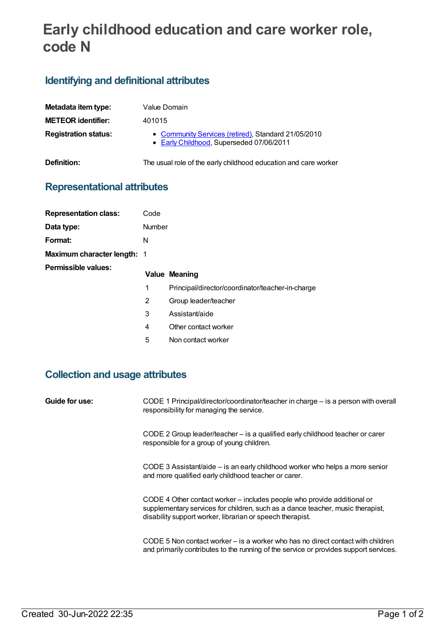# **Early childhood education and care worker role, code N**

## **Identifying and definitional attributes**

| Value Domain                                                                                    |
|-------------------------------------------------------------------------------------------------|
| 401015                                                                                          |
| • Community Services (retired), Standard 21/05/2010<br>• Early Childhood, Superseded 07/06/2011 |
| The usual role of the early childhood education and care worker                                 |
|                                                                                                 |

#### **Representational attributes**

| <b>Representation class:</b>       | Code   |                                                  |
|------------------------------------|--------|--------------------------------------------------|
| Data type:                         | Number |                                                  |
| Format:                            | N      |                                                  |
| <b>Maximum character length: 1</b> |        |                                                  |
| Permissible values:                |        | <b>Value Meaning</b>                             |
|                                    | 1      | Principal/director/coordinator/teacher-in-charge |
|                                    | 2      | Group leader/teacher                             |
|                                    | 3      | Assistant/aide                                   |
|                                    | 4      | Other contact worker                             |
|                                    | 5      | Non contact worker                               |

## **Collection and usage attributes**

| Guide for use: | CODE 1 Principal/director/coordinator/teacher in charge – is a person with overall<br>responsibility for managing the service.                                                                                         |
|----------------|------------------------------------------------------------------------------------------------------------------------------------------------------------------------------------------------------------------------|
|                | CODE 2 Group leader/teacher – is a qualified early childhood teacher or carer<br>responsible for a group of young children.                                                                                            |
|                | CODE 3 Assistant/aide – is an early childhood worker who helps a more senior<br>and more qualified early childhood teacher or carer.                                                                                   |
|                | CODE 4 Other contact worker – includes people who provide additional or<br>supplementary services for children, such as a dance teacher, music therapist,<br>disability support worker, librarian or speech therapist. |
|                | CODE 5 Non contact worker – is a worker who has no direct contact with children<br>and primarily contributes to the running of the service or provides support services.                                               |